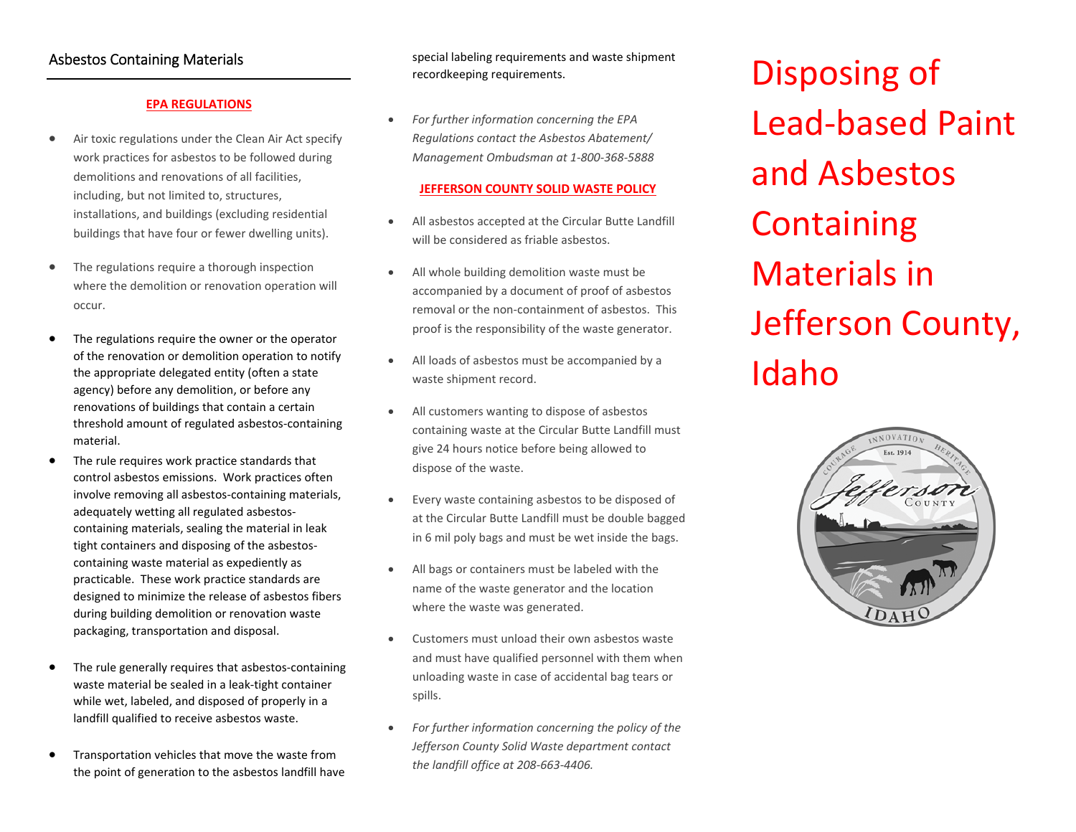# Asbestos Containing Materials

## **EPA REGULATIONS**

- $\bullet$  Air toxic regulations under the Clean Air Act specify work practices for asbestos to be followed during demolitions and renovations of all facilities, including, but not limited to, structures, installations, and buildings (excluding residential buildings that have four or fewer dwelling units).
- $\bullet$  The regulations require <sup>a</sup> thorough inspection where the demolition or renovation operation will occur.
- c The regulations require the owner or the operator of the renovation or demolition operation to notify the appropriate delegated entity (often <sup>a</sup> state agency) before any demolition, or before any renovations of buildings that contain <sup>a</sup> certain threshold amount of regulated asbestos‐containing material.
- $\bullet$  The rule requires work practice standards that control asbestos emissions. Work practices often involve removing all asbestos‐containing materials, adequately wetting all regulated asbestos‐ containing materials, sealing the material in leak tight containers and disposing of the asbestos‐ containing waste material as expediently as practicable. These work practice standards are designed to minimize the release of asbestos fibers during building demolition or renovation waste packaging, transportation and disposal.
- 6 The rule generally requires that asbestos‐containing waste material be sealed in <sup>a</sup> leak‐tight container while wet, labeled, and disposed of properly in <sup>a</sup> landfill qualified to receive asbestos waste.
- e Transportation vehicles that move the waste from the point of generation to the asbestos landfill have

special labeling requirements and waste shipment recordkeeping requirements.

 $\bullet$  *For further information concerning the EPA Regulations contact the Asbestos Abatement/ Management Ombudsman at 1‐800‐368‐5888*

### **JEFFERSON COUNTY SOLID WASTE POLICY**

- ٠ All asbestos accepted at the Circular Butte Landfill will be considered as friable asbestos.
- 0 All whole building demolition waste must be accompanied by <sup>a</sup> document of proof of asbestos removal or the non‐containment of asbestos. This proof is the responsibility of the waste generator.
- 0 All loads of asbestos must be accompanied by <sup>a</sup> waste shipment record.
- ٠ All customers wanting to dispose of asbestos containing waste at the Circular Butte Landfill must give 24 hours notice before being allowed to dispose of the waste.
- 0 Every waste containing asbestos to be disposed of at the Circular Butte Landfill must be double bagged in 6 mil poly bags and must be wet inside the bags.
- 0 All bags or containers must be labeled with the name of the waste generator and the location where the waste was generated.
- 0 Customers must unload their own asbestos waste and must have qualified personnel with them when unloading waste in case of accidental bag tears or spills.
- 0 *For further information concerning the policy of the Jefferson County Solid Waste department contact the landfill office at 208‐663‐4406.*

Disposing of Lead ‐based Paint and Asbestos **Containing** Materials inJefferson County, Idaho